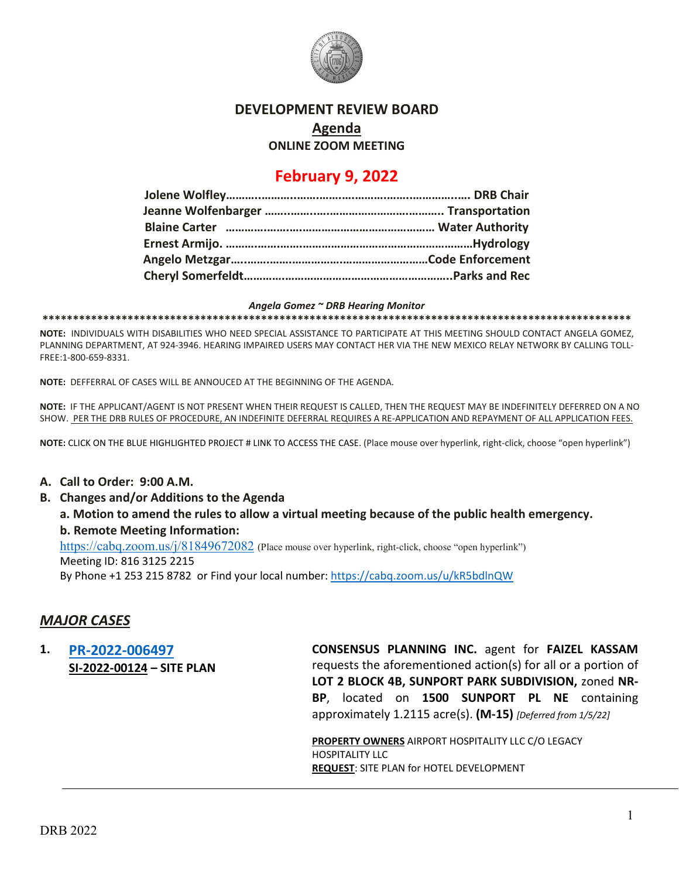

#### **DEVELOPMENT REVIEW BOARD**

**Agenda**

**ONLINE ZOOM MEETING**

# **February 9, 2022**

#### *Angela Gomez ~ DRB Hearing Monitor*

**\*\*\*\*\*\*\*\*\*\*\*\*\*\*\*\*\*\*\*\*\*\*\*\*\*\*\*\*\*\*\*\*\*\*\*\*\*\*\*\*\*\*\*\*\*\*\*\*\*\*\*\*\*\*\*\*\*\*\*\*\*\*\*\*\*\*\*\*\*\*\*\*\*\*\*\*\*\*\*\*\*\*\*\*\*\*\*\*\*\*\*\*\*\*\*\*\***

**NOTE:** INDIVIDUALS WITH DISABILITIES WHO NEED SPECIAL ASSISTANCE TO PARTICIPATE AT THIS MEETING SHOULD CONTACT ANGELA GOMEZ, PLANNING DEPARTMENT, AT 924-3946. HEARING IMPAIRED USERS MAY CONTACT HER VIA THE NEW MEXICO RELAY NETWORK BY CALLING TOLL-FREE:1-800-659-8331.

**NOTE:** DEFFERRAL OF CASES WILL BE ANNOUCED AT THE BEGINNING OF THE AGENDA.

**NOTE:** IF THE APPLICANT/AGENT IS NOT PRESENT WHEN THEIR REQUEST IS CALLED, THEN THE REQUEST MAY BE INDEFINITELY DEFERRED ON A NO SHOW. PER THE DRB RULES OF PROCEDURE, AN INDEFINITE DEFERRAL REQUIRES A RE-APPLICATION AND REPAYMENT OF ALL APPLICATION FEES.

**NOTE:** CLICK ON THE BLUE HIGHLIGHTED PROJECT # LINK TO ACCESS THE CASE. (Place mouse over hyperlink, right-click, choose "open hyperlink")

#### **A. Call to Order: 9:00 A.M.**

- **B. Changes and/or Additions to the Agenda**
	- **a. Motion to amend the rules to allow a virtual meeting because of the public health emergency. b. Remote Meeting Information:**

<https://cabq.zoom.us/j/81849672082> (Place mouse over hyperlink, right-click, choose "open hyperlink") Meeting ID: 816 3125 2215

By Phone +1 253 215 8782 or Find your local number:<https://cabq.zoom.us/u/kR5bdlnQW>

### *MAJOR CASES*

**1. [PR-2022-006497](http://data.cabq.gov/government/planning/DRB/PR-2022-006497/DRB%20Submittals/PR-2022-006497_February_9_2022%20(Site%20Plan)/Application/APPLICATION%20-%20Site%20Plan_DRB_1500%20Sunport%20Pl.%20SE(1).pdf) SI-2022-00124 – SITE PLAN** **CONSENSUS PLANNING INC.** agent for **FAIZEL KASSAM** requests the aforementioned action(s) for all or a portion of **LOT 2 BLOCK 4B, SUNPORT PARK SUBDIVISION,** zoned **NR-BP**, located on **1500 SUNPORT PL NE** containing approximately 1.2115 acre(s). **(M-15)** *[Deferred from 1/5/22]*

**PROPERTY OWNERS** AIRPORT HOSPITALITY LLC C/O LEGACY HOSPITALITY LLC **REQUEST**: SITE PLAN for HOTEL DEVELOPMENT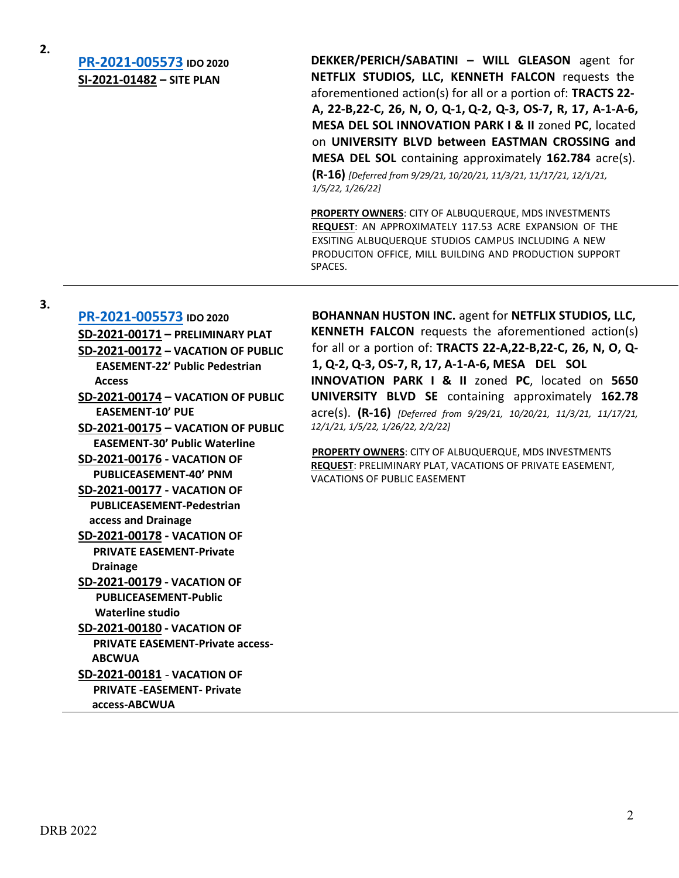**2.**

**[PR-2021-005573](http://data.cabq.gov/government/planning/DRB/PR-2021-005573/DRB%20Submittals/) IDO 2020 SI-2021-01482 – SITE PLAN**

**DEKKER/PERICH/SABATINI – WILL GLEASON** agent for **NETFLIX STUDIOS, LLC, KENNETH FALCON** requests the aforementioned action(s) for all or a portion of: **TRACTS 22- A, 22-B,22-C, 26, N, O, Q-1, Q-2, Q-3, OS-7, R, 17, A-1-A-6, MESA DEL SOL INNOVATION PARK I & II** zoned **PC**, located on **UNIVERSITY BLVD between EASTMAN CROSSING and MESA DEL SOL** containing approximately **162.784** acre(s).

**(R-16)** *[Deferred from 9/29/21, 10/20/21, 11/3/21, 11/17/21, 12/1/21, 1/5/22, 1/26/22]*

**PROPERTY OWNERS**: CITY OF ALBUQUERQUE, MDS INVESTMENTS **REQUEST**: AN APPROXIMATELY 117.53 ACRE EXPANSION OF THE EXSITING ALBUQUERQUE STUDIOS CAMPUS INCLUDING A NEW PRODUCITON OFFICE, MILL BUILDING AND PRODUCTION SUPPORT SPACES.

**3.**

**[PR-2021-005573](http://data.cabq.gov/government/planning/DRB/PR-2021-005573/DRB%20Submittals/) IDO 2020 SD-2021-00171 – PRELIMINARY PLAT SD-2021-00172 – VACATION OF PUBLIC EASEMENT-22' Public Pedestrian Access SD-2021-00174 – VACATION OF PUBLIC EASEMENT-10' PUE SD-2021-00175 – VACATION OF PUBLIC EASEMENT-30' Public Waterline SD-2021-00176 - VACATION OF PUBLICEASEMENT-40' PNM SD-2021-00177 - VACATION OF PUBLICEASEMENT-Pedestrian access and Drainage SD-2021-00178 - VACATION OF PRIVATE EASEMENT-Private Drainage SD-2021-00179 - VACATION OF PUBLICEASEMENT-Public Waterline studio SD-2021-00180 - VACATION OF PRIVATE EASEMENT-Private access- ABCWUA SD-2021-00181** - **VACATION OF PRIVATE -EASEMENT- Private access-ABCWUA**

**BOHANNAN HUSTON INC.** agent for **NETFLIX STUDIOS, LLC, KENNETH FALCON** requests the aforementioned action(s) for all or a portion of: **TRACTS 22-A,22-B,22-C, 26, N, O, Q-1, Q-2, Q-3, OS-7, R, 17, A-1-A-6, MESA DEL SOL INNOVATION PARK I & II** zoned **PC**, located on **5650 UNIVERSITY BLVD SE** containing approximately **162.78** acre(s). **(R-16)** *[Deferred from 9/29/21, 10/20/21, 11/3/21, 11/17/21, 12/1/21, 1/5/22, 1/26/22, 2/2/22]*

**PROPERTY OWNERS**: CITY OF ALBUQUERQUE, MDS INVESTMENTS **REQUEST**: PRELIMINARY PLAT, VACATIONS OF PRIVATE EASEMENT, VACATIONS OF PUBLIC EASEMENT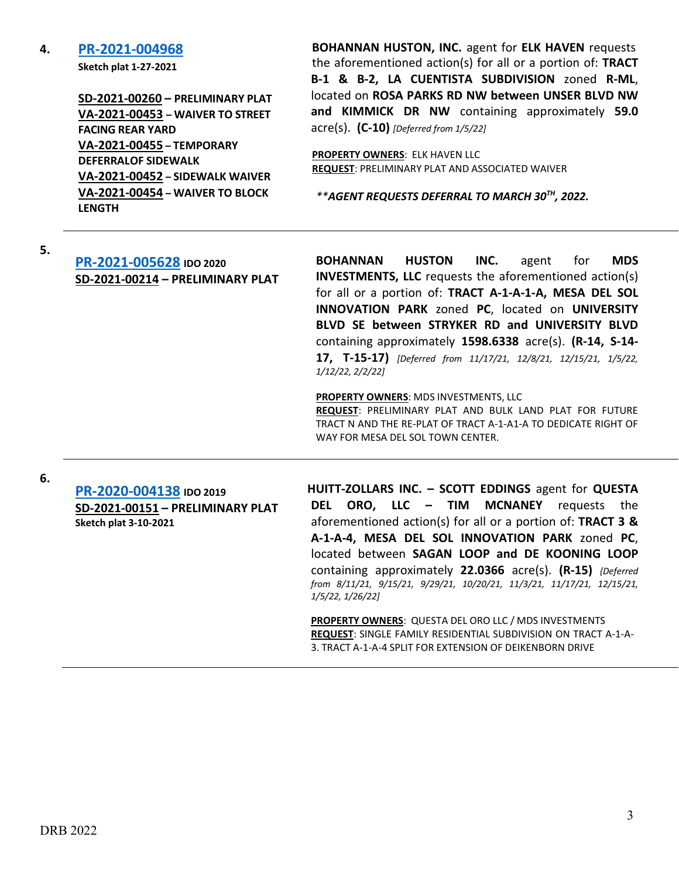#### **4. [PR-2021-004968](http://data.cabq.gov/government/planning/DRB/PR-2021-004968/DRB%20Submittals/PR-2021-004968_Jan_5_2022_(PP,%20TDSW,%20Waiver%20x3)/Original%20Application/0000Digital%20Submittal_12-10-2021%20(1).pdf)**

**Sketch plat 1-27-2021**

**SD-2021-00260 – PRELIMINARY PLAT VA-2021-00453 – WAIVER TO STREET FACING REAR YARD VA-2021-00455 – TEMPORARY DEFERRALOF SIDEWALK VA-2021-00452 – SIDEWALK WAIVER VA-2021-00454 – WAIVER TO BLOCK LENGTH**

**BOHANNAN HUSTON, INC.** agent for **ELK HAVEN** requests the aforementioned action(s) for all or a portion of: **TRACT B-1 & B-2, LA CUENTISTA SUBDIVISION** zoned **R-ML**, located on **ROSA PARKS RD NW between UNSER BLVD NW and KIMMICK DR NW** containing approximately **59.0**  acre(s). **(C-10)** *[Deferred from 1/5/22]*

**PROPERTY OWNERS**: ELK HAVEN LLC **REQUEST**: PRELIMINARY PLAT AND ASSOCIATED WAIVER

*\*\*AGENT REQUESTS DEFERRAL TO MARCH 30TH, 2022.*

**5.**

#### **[PR-2021-005628](http://data.cabq.gov/government/planning/DRB/PR-2021-005628/DRB%20Submittals/) IDO 2020 SD-2021-00214 – PRELIMINARY PLAT**

**BOHANNAN HUSTON INC.** agent for **MDS INVESTMENTS, LLC** requests the aforementioned action(s) for all or a portion of: **TRACT A-1-A-1-A, MESA DEL SOL INNOVATION PARK** zoned **PC**, located on **UNIVERSITY BLVD SE between STRYKER RD and UNIVERSITY BLVD** containing approximately **1598.6338** acre(s). **(R-14, S-14- 17, T-15-17)** *[Deferred from 11/17/21, 12/8/21, 12/15/21, 1/5/22, 1/12/22, 2/2/22]*

**PROPERTY OWNERS**: MDS INVESTMENTS, LLC

**REQUEST**: PRELIMINARY PLAT AND BULK LAND PLAT FOR FUTURE TRACT N AND THE RE-PLAT OF TRACT A-1-A1-A TO DEDICATE RIGHT OF WAY FOR MESA DEL SOL TOWN CENTER.

**6.**

**[PR-2020-004138](http://data.cabq.gov/government/planning/DRB/PR-2020-004138/DRB%20Submittals/) IDO 2019 SD-2021-00151 – PRELIMINARY PLAT Sketch plat 3-10-2021**

**HUITT-ZOLLARS INC. – SCOTT EDDINGS** agent for **QUESTA DEL ORO, LLC – TIM MCNANEY** requests the aforementioned action(s) for all or a portion of: **TRACT 3 & A-1-A-4, MESA DEL SOL INNOVATION PARK** zoned **PC**, located between **SAGAN LOOP and DE KOONING LOOP** containing approximately **22.0366** acre(s). **(R-15)** *{Deferred from 8/11/21, 9/15/21, 9/29/21, 10/20/21, 11/3/21, 11/17/21, 12/15/21, 1/5/22, 1/26/22]*

**PROPERTY OWNERS**: QUESTA DEL ORO LLC / MDS INVESTMENTS **REQUEST**: SINGLE FAMILY RESIDENTIAL SUBDIVISION ON TRACT A-1-A-3. TRACT A-1-A-4 SPLIT FOR EXTENSION OF DEIKENBORN DRIVE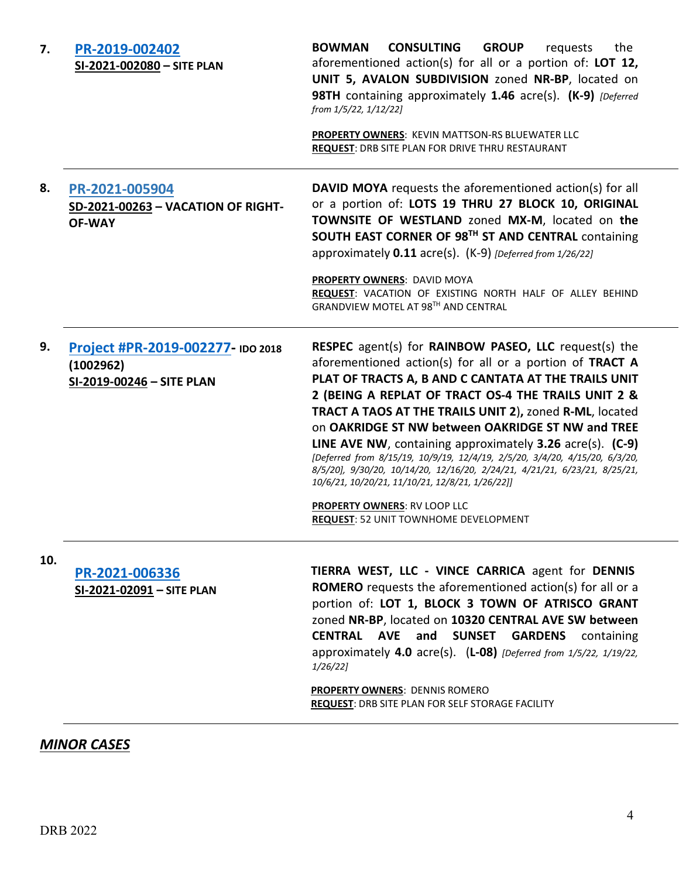| 7.  | PR-2019-002402<br>SI-2021-002080 - SITE PLAN                                | <b>BOWMAN</b><br><b>CONSULTING</b><br><b>GROUP</b><br>the<br>requests<br>aforementioned action(s) for all or a portion of: LOT 12,<br>UNIT 5, AVALON SUBDIVISION zoned NR-BP, located on<br>98TH containing approximately 1.46 acre(s). (K-9) [Deferred]<br>from 1/5/22, 1/12/22]<br><b>PROPERTY OWNERS: KEVIN MATTSON-RS BLUEWATER LLC</b><br>REQUEST: DRB SITE PLAN FOR DRIVE THRU RESTAURANT                                                                                                                                                                                                                                                                                                                                |
|-----|-----------------------------------------------------------------------------|--------------------------------------------------------------------------------------------------------------------------------------------------------------------------------------------------------------------------------------------------------------------------------------------------------------------------------------------------------------------------------------------------------------------------------------------------------------------------------------------------------------------------------------------------------------------------------------------------------------------------------------------------------------------------------------------------------------------------------|
| 8.  | PR-2021-005904<br>SD-2021-00263 - VACATION OF RIGHT-<br><b>OF-WAY</b>       | DAVID MOYA requests the aforementioned action(s) for all<br>or a portion of: LOTS 19 THRU 27 BLOCK 10, ORIGINAL<br>TOWNSITE OF WESTLAND zoned MX-M, located on the<br>SOUTH EAST CORNER OF 98TH ST AND CENTRAL containing<br>approximately 0.11 acre(s). (K-9) [Deferred from 1/26/22]<br>PROPERTY OWNERS: DAVID MOYA<br>REQUEST: VACATION OF EXISTING NORTH HALF OF ALLEY BEHIND<br>GRANDVIEW MOTEL AT 98TH AND CENTRAL                                                                                                                                                                                                                                                                                                       |
| 9.  | Project #PR-2019-002277- IDO 2018<br>(1002962)<br>SI-2019-00246 - SITE PLAN | RESPEC agent(s) for RAINBOW PASEO, LLC request(s) the<br>aforementioned action(s) for all or a portion of TRACT A<br>PLAT OF TRACTS A, B AND C CANTATA AT THE TRAILS UNIT<br>2 (BEING A REPLAT OF TRACT OS-4 THE TRAILS UNIT 2 &<br>TRACT A TAOS AT THE TRAILS UNIT 2), zoned R-ML, located<br>on OAKRIDGE ST NW between OAKRIDGE ST NW and TREE<br><b>LINE AVE NW</b> , containing approximately $3.26$ acre(s). $(C-9)$<br>[Deferred from 8/15/19, 10/9/19, 12/4/19, 2/5/20, 3/4/20, 4/15/20, 6/3/20,<br>8/5/20], 9/30/20, 10/14/20, 12/16/20, 2/24/21, 4/21/21, 6/23/21, 8/25/21,<br>10/6/21, 10/20/21, 11/10/21, 12/8/21, 1/26/22]]<br><b>PROPERTY OWNERS: RV LOOP LLC</b><br><b>REQUEST: 52 UNIT TOWNHOME DEVELOPMENT</b> |
| 10. | PR-2021-006336<br>SI-2021-02091 - SITE PLAN                                 | TIERRA WEST, LLC - VINCE CARRICA agent for DENNIS<br><b>ROMERO</b> requests the aforementioned action(s) for all or a<br>portion of: LOT 1, BLOCK 3 TOWN OF ATRISCO GRANT<br>zoned NR-BP, located on 10320 CENTRAL AVE SW between<br><b>CENTRAL AVE and SUNSET GARDENS</b> containing<br>approximately 4.0 $\arccos 0$ . (L-08) [Deferred from 1/5/22, 1/19/22,<br>1/26/22<br><b>PROPERTY OWNERS: DENNIS ROMERO</b><br><b>REQUEST: DRB SITE PLAN FOR SELF STORAGE FACILITY</b>                                                                                                                                                                                                                                                 |

## *MINOR CASES*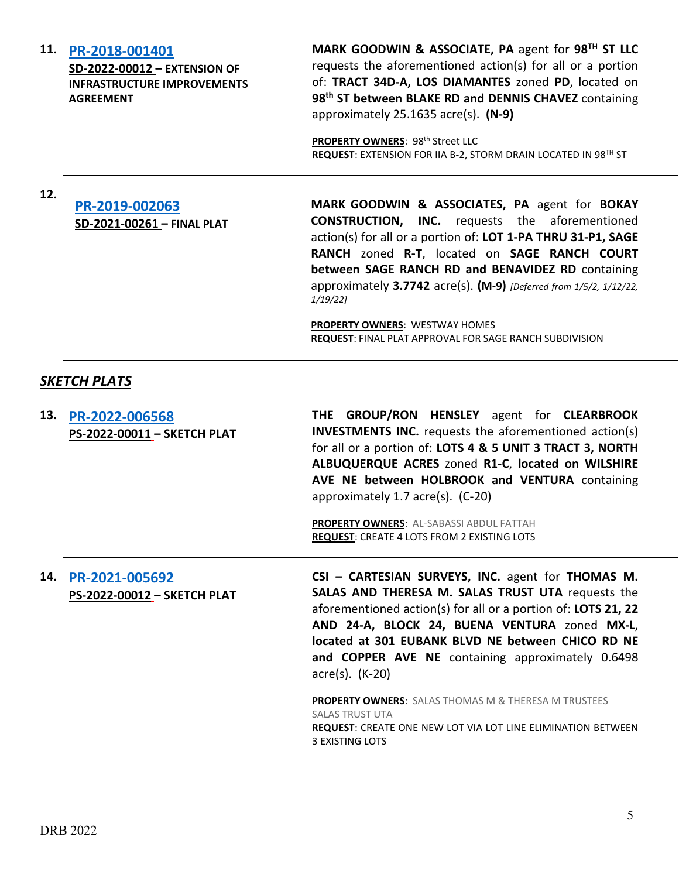#### **INFRASTRUCTURE IMPROVEMENTS**

**AGREEMENT**

**SD-2022-00012 – EXTENSION OF** 

**11. [PR-2018-001401](http://data.cabq.gov/government/planning/DRB/PR-2018-001401/DRB%20Submittals/)**

**MARK GOODWIN & ASSOCIATE, PA** agent for **98TH ST LLC** requests the aforementioned action(s) for all or a portion of: **TRACT 34D-A, LOS DIAMANTES** zoned **PD**, located on **98th ST between BLAKE RD and DENNIS CHAVEZ** containing approximately 25.1635 acre(s). **(N-9)**

**PROPERTY OWNERS: 98th Street LLC REQUEST**: EXTENSION FOR IIA B-2, STORM DRAIN LOCATED IN 98TH ST

# **12. [PR-2019-002063](http://data.cabq.gov/government/planning/DRB/PR-2019-002063/DRB%20Submittals/) SD-2021-00261 – FINAL PLAT**

**MARK GOODWIN & ASSOCIATES, PA** agent for **BOKAY CONSTRUCTION, INC.** requests the aforementioned action(s) for all or a portion of: **LOT 1-PA THRU 31-P1, SAGE RANCH** zoned **R-T**, located on **SAGE RANCH COURT between SAGE RANCH RD and BENAVIDEZ RD** containing approximately **3.7742** acre(s). **(M-9)** *[Deferred from 1/5/2, 1/12/22, 1/19/22]*

**PROPERTY OWNERS**: WESTWAY HOMES **REQUEST**: FINAL PLAT APPROVAL FOR SAGE RANCH SUBDIVISION

#### *SKETCH PLATS*

**13. [PR-2022-006568](http://data.cabq.gov/government/planning/DRB/) PS-2022-00011 – SKETCH PLAT THE GROUP/RON HENSLEY** agent for **CLEARBROOK INVESTMENTS INC.** requests the aforementioned action(s) for all or a portion of: **LOTS 4 & 5 UNIT 3 TRACT 3, NORTH ALBUQUERQUE ACRES** zoned **R1-C**, **located on WILSHIRE AVE NE between HOLBROOK and VENTURA** containing approximately 1.7 acre(s). (C-20) **PROPERTY OWNERS**: AL-SABASSI ABDUL FATTAH **REQUEST**: CREATE 4 LOTS FROM 2 EXISTING LOTS **14. [PR-2021-005692](http://data.cabq.gov/government/planning/DRB/) PS-2022-00012 – SKETCH PLAT CSI – CARTESIAN SURVEYS, INC.** agent for **THOMAS M. SALAS AND THERESA M. SALAS TRUST UTA** requests the aforementioned action(s) for all or a portion of: **LOTS 21, 22 AND 24-A, BLOCK 24, BUENA VENTURA** zoned **MX-L**, **located at 301 EUBANK BLVD NE between CHICO RD NE and COPPER AVE NE** containing approximately 0.6498 acre(s). (K-20) **PROPERTY OWNERS**: SALAS THOMAS M & THERESA M TRUSTEES SALAS TRUST UTA